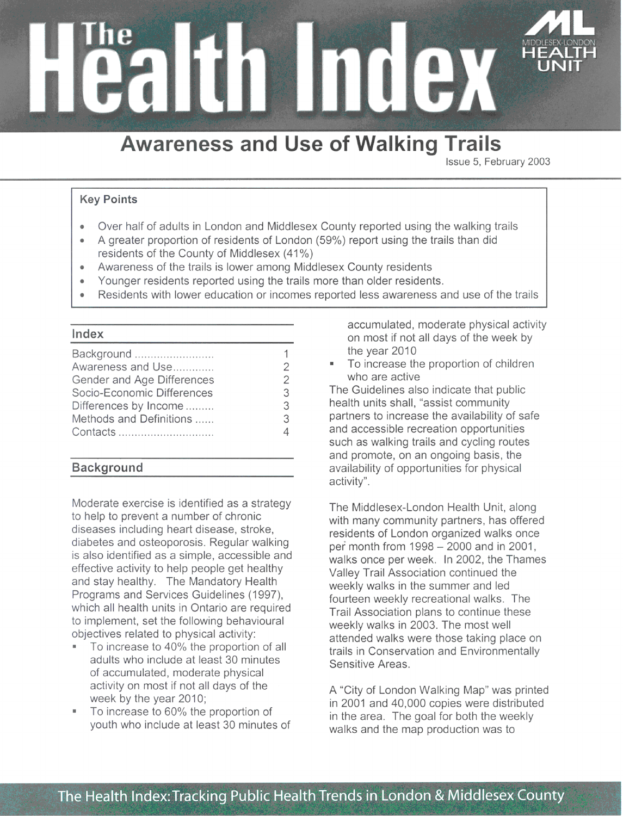

# **Awareness and Use of Walking Trails**

Issue 5, February 2003

## **Key Points**

- Over half of adults in London and Middlesex County reported using the walking trails
- A greater proportion of residents of London (59%) report using the trails than did residents of the County of Middlesex (41%)
- Awareness of the trails is lower among Middlesex County residents
- Younger residents reported using the trails more than older residents.
- Residents with lower education or incomes reported less awareness and use of the trails

#### Index

| Background                 |               |
|----------------------------|---------------|
| Awareness and Use          | 2             |
| Gender and Age Differences | $\mathcal{P}$ |
| Socio-Economic Differences | 3             |
| Differences by Income      | 3             |
| Methods and Definitions    | 3             |
| Contacts                   |               |
|                            |               |

## **Background**

Moderate exercise is identified as a strategy to help to prevent a number of chronic diseases including heart disease, stroke, diabetes and osteoporosis. Regular walking is also identified as a simple, accessible and effective activity to help people get healthy and stay healthy. The Mandatory Health Programs and Services Guidelines (1997), which all health units in Ontario are required to implement, set the following behavioural objectives related to physical activity:

- To increase to 40% the proportion of all adults who include at least 30 minutes of accumulated, moderate physical activity on most if not all days of the week by the year 2010;
- To increase to 60% the proportion of youth who include at least 30 minutes of

accumulated, moderate physical activity on most if not all days of the week by the year 2010

To increase the proportion of children  $\mathbf{u}$  . who are active

The Guidelines also indicate that public health units shall, "assist community partners to increase the availability of safe and accessible recreation opportunities such as walking trails and cycling routes and promote, on an ongoing basis, the availability of opportunities for physical activity".

The Middlesex-London Health Unit, along with many community partners, has offered residents of London organized walks once per month from 1998 - 2000 and in 2001, walks once per week. In 2002, the Thames Valley Trail Association continued the weekly walks in the summer and led fourteen weekly recreational walks. The Trail Association plans to continue these weekly walks in 2003. The most well attended walks were those taking place on trails in Conservation and Environmentally Sensitive Areas.

A "City of London Walking Map" was printed in 2001 and 40,000 copies were distributed in the area. The goal for both the weekly walks and the map production was to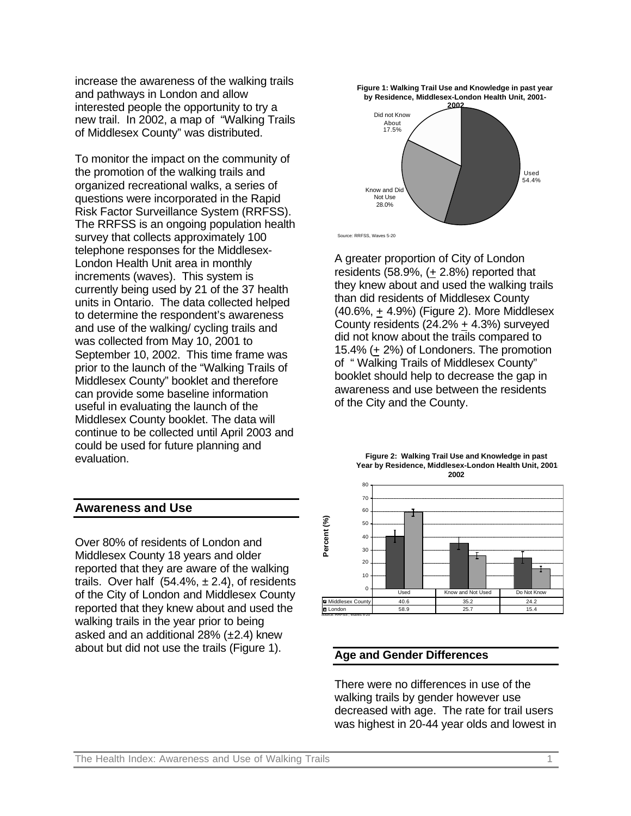increase the awareness of the walking trails and pathways in London and allow interested people the opportunity to try a new trail. In 2002, a map of "Walking Trails of Middlesex County" was distributed.

To monitor the impact on the community of the promotion of the walking trails and organized recreational walks, a series of questions were incorporated in the Rapid Risk Factor Surveillance System (RRFSS). The RRFSS is an ongoing population health survey that collects approximately 100 telephone responses for the Middlesex-London Health Unit area in monthly increments (waves). This system is currently being used by 21 of the 37 health units in Ontario. The data collected helped to determine the respondent's awareness and use of the walking/ cycling trails and was collected from May 10, 2001 to September 10, 2002. This time frame was prior to the launch of the "Walking Trails of Middlesex County" booklet and therefore can provide some baseline information useful in evaluating the launch of the Middlesex County booklet. The data will continue to be collected until April 2003 and could be used for future planning and evaluation.

#### **Awareness and Use**

Over 80% of residents of London and Middlesex County 18 years and older reported that they are aware of the walking trails. Over half  $(54.4\%, \pm 2.4)$ , of residents of the City of London and Middlesex County reported that they knew about and used the walking trails in the year prior to being asked and an additional  $28\%$  ( $\pm 2.4$ ) knew about but did not use the trails (Figure 1).



Source: RRFSS, Waves 5-20

A greater proportion of City of London residents (58.9%, (+ 2.8%) reported that they knew about and used the walking trails than did residents of Middlesex County (40.6%, + 4.9%) (Figure 2). More Middlesex County residents (24.2% + 4.3%) surveyed did not know about the trails compared to 15.4% (+ 2%) of Londoners. The promotion of " Walking Trails of Middlesex County" booklet should help to decrease the gap in awareness and use between the residents of the City and the County.





#### **Age and Gender Differences**

There were no differences in use of the walking trails by gender however use decreased with age. The rate for trail users was highest in 20-44 year olds and lowest in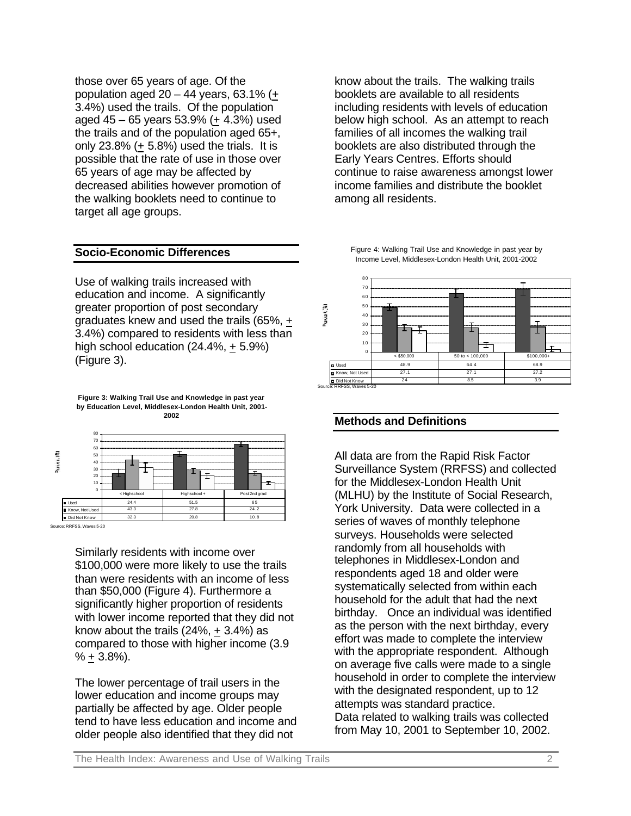those over 65 years of age. Of the population aged  $20 - 44$  years, 63.1% (+ 3.4%) used the trails. Of the population aged 45 – 65 years 53.9% (+ 4.3%) used the trails and of the population aged 65+, only  $23.8\%$  (+ 5.8%) used the trials. It is possible that the rate of use in those over 65 years of age may be affected by decreased abilities however promotion of the walking booklets need to continue to target all age groups.

### **Socio-Economic Differences**

Use of walking trails increased with education and income. A significantly greater proportion of post secondary graduates knew and used the trails (65%, + 3.4%) compared to residents with less than high school education (24.4%, + 5.9%) (Figure 3).

**Figure 3: Walking Trail Use and Knowledge in past year by Education Level, Middlesex-London Health Unit, 2001- 2002**



Similarly residents with income over \$100,000 were more likely to use the trails than were residents with an income of less than \$50,000 (Figure 4). Furthermore a significantly higher proportion of residents with lower income reported that they did not know about the trails  $(24\%, +3.4\%)$  as compared to those with higher income (3.9  $% + 3.8%$ ).

The lower percentage of trail users in the lower education and income groups may partially be affected by age. Older people tend to have less education and income and older people also identified that they did not

know about the trails. The walking trails booklets are available to all residents including residents with levels of education below high school. As an attempt to reach families of all incomes the walking trail booklets are also distributed through the Early Years Centres. Efforts should continue to raise awareness amongst lower income families and distribute the booklet among all residents.

Figure 4: Walking Trail Use and Knowledge in past year by Income Level, Middlesex-London Health Unit, 2001-2002



#### **Methods and Definitions**

All data are from the Rapid Risk Factor Surveillance System (RRFSS) and collected for the Middlesex-London Health Unit (MLHU) by the Institute of Social Research, York University. Data were collected in a series of waves of monthly telephone surveys. Households were selected randomly from all households with telephones in Middlesex-London and respondents aged 18 and older were systematically selected from within each household for the adult that had the next birthday. Once an individual was identified as the person with the next birthday, every effort was made to complete the interview with the appropriate respondent. Although on average five calls were made to a single household in order to complete the interview with the designated respondent, up to 12 attempts was standard practice. Data related to walking trails was collected from May 10, 2001 to September 10, 2002.